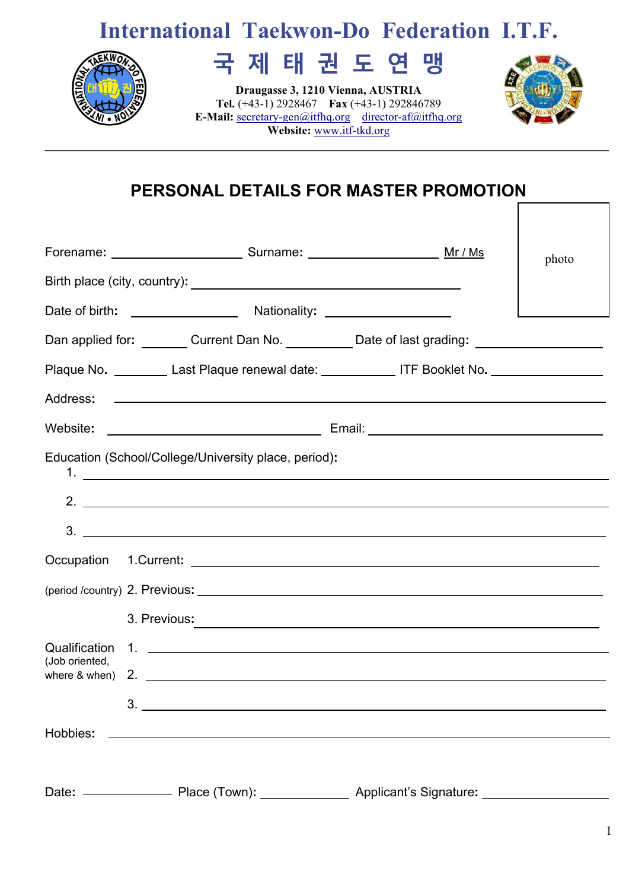# **International Taekwon-Do Federation I.T.F.**



# **국 제 태 권 도 연 맹**

**Draugasse 3, 1210 Vienna, AUSTRIA Tel.** (+43-1) 2928467 **Fax** (+43-1) 292846789 **E-Mail:** secretary-gen@itfhq.orgdirector-af@itfhq.org **Website:** www.itf-tkd.org **\_\_\_\_\_\_\_\_\_\_\_\_\_\_\_\_\_\_\_\_\_\_\_\_\_\_\_\_\_\_\_\_\_\_\_\_\_\_\_\_\_\_\_\_\_\_\_\_\_\_\_\_\_\_\_\_\_\_\_\_\_\_\_\_\_\_\_\_\_\_\_\_\_\_\_\_\_\_\_\_\_\_\_\_\_\_\_\_\_** 



## **PERSONAL DETAILS FOR MASTER PROMOTION**

|                                                |                                                                                                                                                                                                                                |  | photo |  |  |  |  |
|------------------------------------------------|--------------------------------------------------------------------------------------------------------------------------------------------------------------------------------------------------------------------------------|--|-------|--|--|--|--|
|                                                |                                                                                                                                                                                                                                |  |       |  |  |  |  |
|                                                |                                                                                                                                                                                                                                |  |       |  |  |  |  |
|                                                | Dan applied for: ________ Current Dan No. ___________ Date of last grading: __________________                                                                                                                                 |  |       |  |  |  |  |
|                                                | Plaque No. _________ Last Plaque renewal date: ____________ ITF Booklet No. _________________                                                                                                                                  |  |       |  |  |  |  |
|                                                |                                                                                                                                                                                                                                |  |       |  |  |  |  |
|                                                |                                                                                                                                                                                                                                |  |       |  |  |  |  |
|                                                | Education (School/College/University place, period):                                                                                                                                                                           |  |       |  |  |  |  |
|                                                | $2.$ $\overline{\phantom{a}}$                                                                                                                                                                                                  |  |       |  |  |  |  |
|                                                | $3.$ $\overline{\phantom{a}}$                                                                                                                                                                                                  |  |       |  |  |  |  |
|                                                |                                                                                                                                                                                                                                |  |       |  |  |  |  |
|                                                |                                                                                                                                                                                                                                |  |       |  |  |  |  |
|                                                | 3. Previous: 2008 and 2008 and 2008 and 2008 and 2008 and 2008 and 2008 and 2008 and 2008 and 2008 and 2008 and 2008 and 2008 and 2008 and 2008 and 2008 and 2008 and 2008 and 2008 and 2008 and 2008 and 2008 and 2008 and 20 |  |       |  |  |  |  |
| Qualification                                  |                                                                                                                                                                                                                                |  |       |  |  |  |  |
| (Job oriented,<br>where $\&$ when $\)$ 2. $\)$ |                                                                                                                                                                                                                                |  |       |  |  |  |  |
|                                                | 3.                                                                                                                                                                                                                             |  |       |  |  |  |  |
| Hobbies:                                       | <u> 1989 - Johann Stoff, deutscher Stoffen und der Stoffen und der Stoffen und der Stoffen und der Stoffen und der</u>                                                                                                         |  |       |  |  |  |  |
|                                                |                                                                                                                                                                                                                                |  |       |  |  |  |  |
|                                                |                                                                                                                                                                                                                                |  |       |  |  |  |  |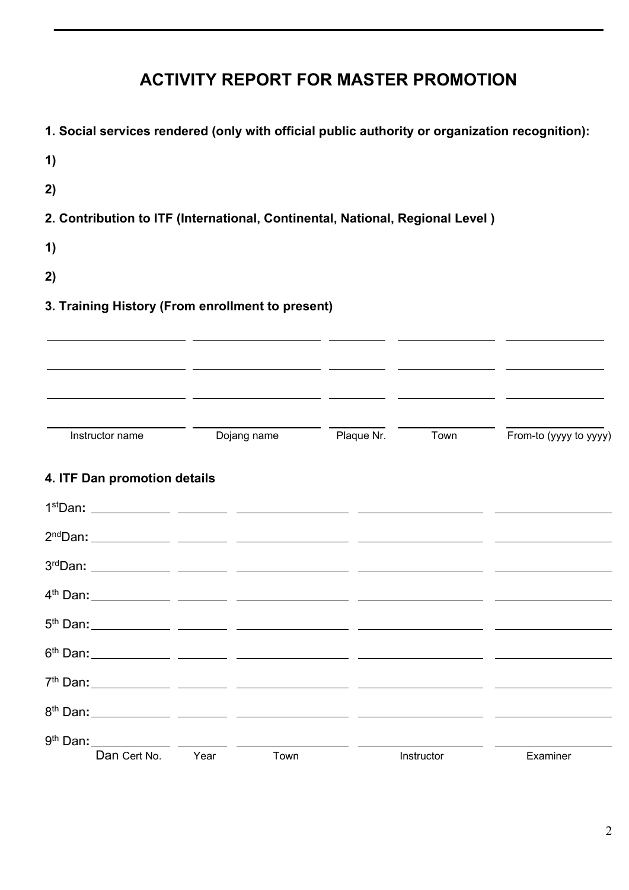## **ACTIVITY REPORT FOR MASTER PROMOTION**

 $\mathcal{L}_\mathcal{L} = \mathcal{L}_\mathcal{L} = \mathcal{L}_\mathcal{L} = \mathcal{L}_\mathcal{L} = \mathcal{L}_\mathcal{L} = \mathcal{L}_\mathcal{L} = \mathcal{L}_\mathcal{L} = \mathcal{L}_\mathcal{L} = \mathcal{L}_\mathcal{L} = \mathcal{L}_\mathcal{L} = \mathcal{L}_\mathcal{L} = \mathcal{L}_\mathcal{L} = \mathcal{L}_\mathcal{L} = \mathcal{L}_\mathcal{L} = \mathcal{L}_\mathcal{L} = \mathcal{L}_\mathcal{L} = \mathcal{L}_\mathcal{L}$ 

| 1. Social services rendered (only with official public authority or organization recognition): |             |                                                                                                                      |            |                                        |
|------------------------------------------------------------------------------------------------|-------------|----------------------------------------------------------------------------------------------------------------------|------------|----------------------------------------|
| 1)                                                                                             |             |                                                                                                                      |            |                                        |
| 2)                                                                                             |             |                                                                                                                      |            |                                        |
| 2. Contribution to ITF (International, Continental, National, Regional Level)                  |             |                                                                                                                      |            |                                        |
| 1)                                                                                             |             |                                                                                                                      |            |                                        |
| 2)                                                                                             |             |                                                                                                                      |            |                                        |
| 3. Training History (From enrollment to present)                                               |             |                                                                                                                      |            |                                        |
|                                                                                                |             | <u> 2001 - Andrea Andrew Maria (a chemica a chemica a chemica a chemica a chemica a chemica a chemica a chemica </u> |            |                                        |
|                                                                                                |             |                                                                                                                      |            |                                        |
|                                                                                                |             |                                                                                                                      |            |                                        |
| Instructor name                                                                                | Dojang name |                                                                                                                      |            | Plaque Nr. Town From-to (yyyy to yyyy) |
|                                                                                                |             |                                                                                                                      |            |                                        |
| 4. ITF Dan promotion details                                                                   |             |                                                                                                                      |            |                                        |
|                                                                                                |             |                                                                                                                      |            |                                        |
|                                                                                                |             |                                                                                                                      |            |                                        |
|                                                                                                |             |                                                                                                                      |            |                                        |
| 4 <sup>th</sup> Dan:                                                                           |             |                                                                                                                      |            |                                        |
|                                                                                                |             |                                                                                                                      |            |                                        |
|                                                                                                |             |                                                                                                                      |            |                                        |
|                                                                                                |             |                                                                                                                      |            |                                        |
|                                                                                                |             |                                                                                                                      |            |                                        |
|                                                                                                |             |                                                                                                                      |            |                                        |
| Dan Cert No.                                                                                   | Year        | Town                                                                                                                 | Instructor | Examiner                               |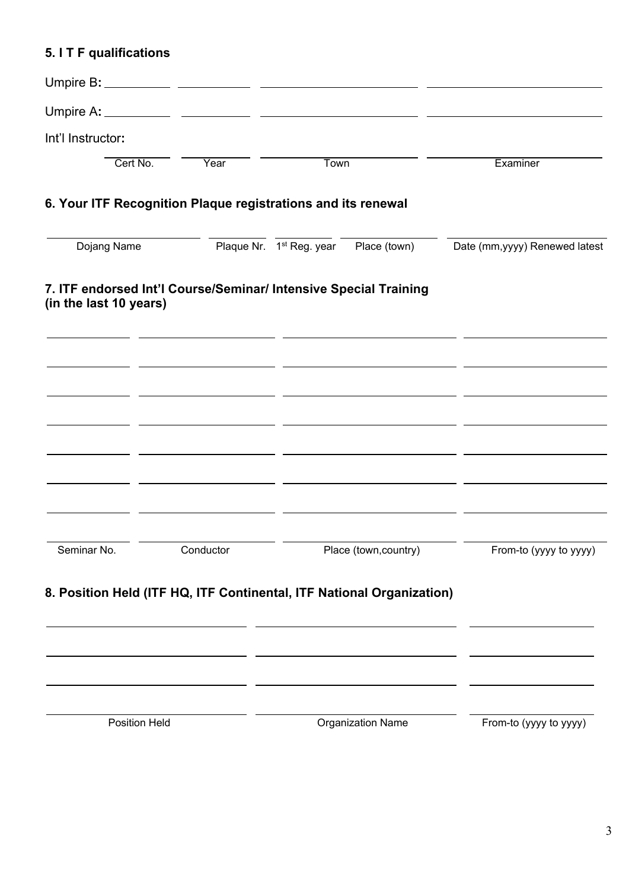## **5. I T F qualifications**

| Int'l Instructor:      |                                                                                                                       |                                                   |                                                                  |                                |
|------------------------|-----------------------------------------------------------------------------------------------------------------------|---------------------------------------------------|------------------------------------------------------------------|--------------------------------|
| Cert No.               | Year                                                                                                                  | <b>Town</b>                                       |                                                                  | Examiner                       |
|                        | 6. Your ITF Recognition Plaque registrations and its renewal                                                          |                                                   |                                                                  |                                |
| Dojang Name            |                                                                                                                       | Plaque Nr. 1 <sup>st</sup> Reg. year Place (town) |                                                                  | Date (mm, yyyy) Renewed latest |
| (in the last 10 years) | 7. ITF endorsed Int'l Course/Seminar/ Intensive Special Training                                                      |                                                   |                                                                  |                                |
|                        | <u> 1989 - Johann Harry Harry Barn, amerikan bahasa perang pengaran bahasa pengaran pengaran pengaran pengaran pe</u> |                                                   |                                                                  |                                |
|                        | <u> 2001 - Jan Samuel Barbara, president eta martxar erroman erroman erroman erroman erroman erroman erroman err</u>  |                                                   | <u> 1989 - Johann John Stone, Amerikaansk politiker (* 1918)</u> |                                |
|                        | <u> 1990 - Jan James Sand, amerikansk politiker (d. 1980)</u>                                                         |                                                   |                                                                  |                                |
|                        |                                                                                                                       |                                                   |                                                                  |                                |
|                        |                                                                                                                       |                                                   |                                                                  |                                |
| Seminar No.            | Conductor                                                                                                             |                                                   | Place (town, country)                                            | From-to (yyyy to yyyy)         |
|                        | 8. Position Held (ITF HQ, ITF Continental, ITF National Organization)                                                 |                                                   |                                                                  |                                |
|                        |                                                                                                                       |                                                   |                                                                  |                                |
|                        |                                                                                                                       |                                                   |                                                                  |                                |
| <b>Position Held</b>   |                                                                                                                       |                                                   | <b>Organization Name</b>                                         | From-to (yyyy to yyyy)         |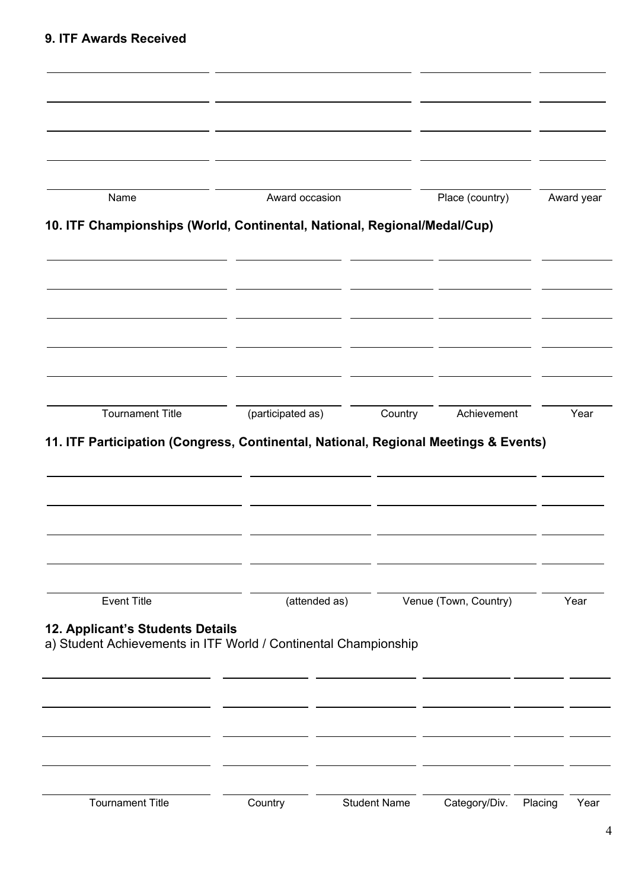| Name                                                                                                | Award occasion    |                     | Place (country)       | Award year |      |
|-----------------------------------------------------------------------------------------------------|-------------------|---------------------|-----------------------|------------|------|
| 10. ITF Championships (World, Continental, National, Regional/Medal/Cup)                            |                   |                     |                       |            |      |
|                                                                                                     |                   |                     |                       |            |      |
|                                                                                                     |                   |                     |                       |            |      |
|                                                                                                     |                   |                     |                       |            |      |
| <b>Tournament Title</b>                                                                             | (participated as) | Country             | Achievement           | Year       |      |
|                                                                                                     |                   |                     |                       |            |      |
| <b>Event Title</b>                                                                                  | (attended as)     |                     | Venue (Town, Country) | Year       |      |
| 12. Applicant's Students Details<br>a) Student Achievements in ITF World / Continental Championship |                   |                     |                       |            |      |
|                                                                                                     |                   |                     |                       |            |      |
|                                                                                                     |                   |                     |                       |            |      |
| <b>Tournament Title</b>                                                                             | Country           | <b>Student Name</b> | Category/Div.         | Placing    | Year |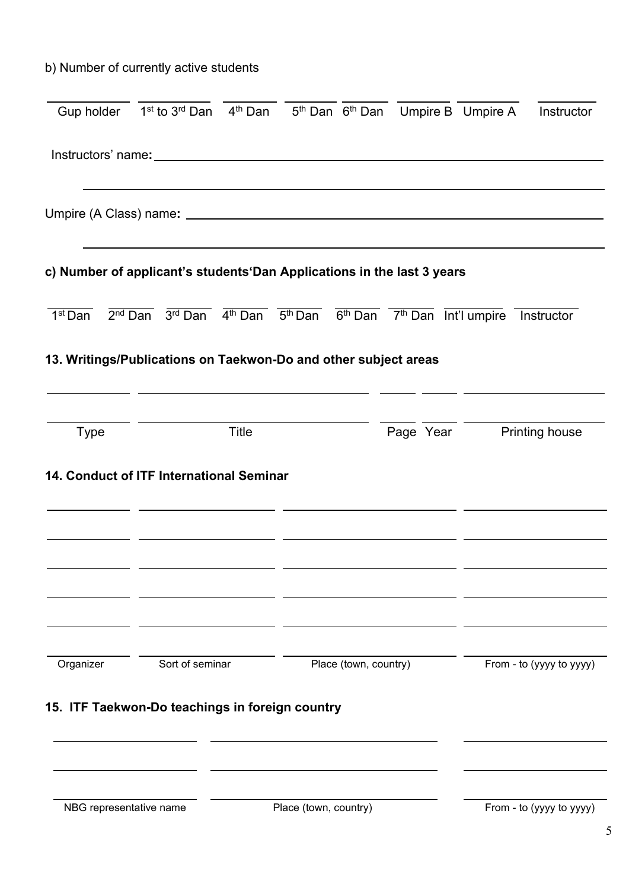## b) Number of currently active students

|                         | Gup holder $1^{st}$ to $3^{rd}$ Dan $4^{th}$ Dan $5^{th}$ Dan $6^{th}$ Dan Umpire B Umpire A                                                                                        |              |                       |                       |                          | Instructor               |
|-------------------------|-------------------------------------------------------------------------------------------------------------------------------------------------------------------------------------|--------------|-----------------------|-----------------------|--------------------------|--------------------------|
|                         |                                                                                                                                                                                     |              |                       |                       |                          |                          |
|                         |                                                                                                                                                                                     |              |                       |                       |                          |                          |
|                         | c) Number of applicant's students Dan Applications in the last 3 years                                                                                                              |              |                       |                       |                          |                          |
| 1 <sup>st</sup> Dan     | $2nd Dan$ $3rd Dan$ $4th Dan$ $5thDan$ $6thDan$ $7th Dan$ Int'l umpire                                                                                                              |              |                       |                       |                          | Instructor               |
|                         | 13. Writings/Publications on Taekwon-Do and other subject areas<br>and the control of the control of the control of the control of the control of the control of the control of the |              |                       |                       |                          |                          |
| <b>Type</b>             |                                                                                                                                                                                     | <b>Title</b> |                       |                       | Page Year Printing house |                          |
|                         | 14. Conduct of ITF International Seminar                                                                                                                                            |              |                       |                       |                          |                          |
|                         |                                                                                                                                                                                     |              |                       |                       |                          |                          |
|                         |                                                                                                                                                                                     |              |                       |                       |                          |                          |
| Organizer               | Sort of seminar                                                                                                                                                                     |              |                       | Place (town, country) |                          | From - to (yyyy to yyyy) |
|                         | 15. ITF Taekwon-Do teachings in foreign country                                                                                                                                     |              |                       |                       |                          |                          |
|                         |                                                                                                                                                                                     |              |                       |                       |                          |                          |
| NBG representative name |                                                                                                                                                                                     |              | Place (town, country) |                       |                          | From - to (yyyy to yyyy) |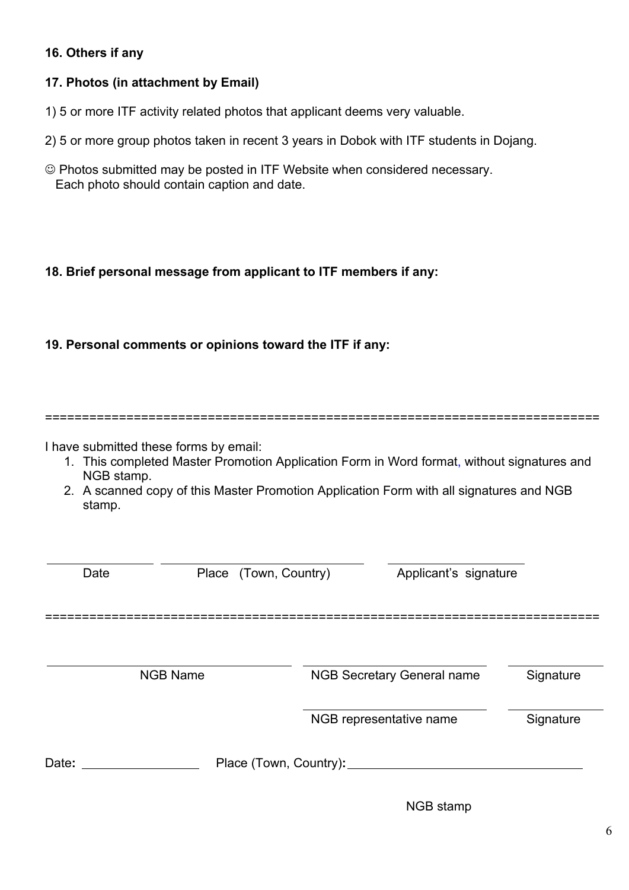#### **16. Others if any**

#### **17. Photos (in attachment by Email)**

- 1) 5 or more ITF activity related photos that applicant deems very valuable.
- 2) 5 or more group photos taken in recent 3 years in Dobok with ITF students in Dojang.
- Photos submitted may be posted in ITF Website when considered necessary. Each photo should contain caption and date.

#### **18. Brief personal message from applicant to ITF members if any:**

#### **19. Personal comments or opinions toward the ITF if any:**

===========================================================================

I have submitted these forms by email:

- 1. This completed Master Promotion Application Form in Word format, without signatures and NGB stamp.
- 2. A scanned copy of this Master Promotion Application Form with all signatures and NGB stamp.

| Date  | Place (Town, Country) |                             | Applicant's signature             |           |
|-------|-----------------------|-----------------------------|-----------------------------------|-----------|
|       | <b>NGB Name</b>       |                             | <b>NGB Secretary General name</b> | Signature |
|       |                       |                             | NGB representative name           | Signature |
| Date: |                       | Place (Town, Country): ____ |                                   |           |

NGB stamp